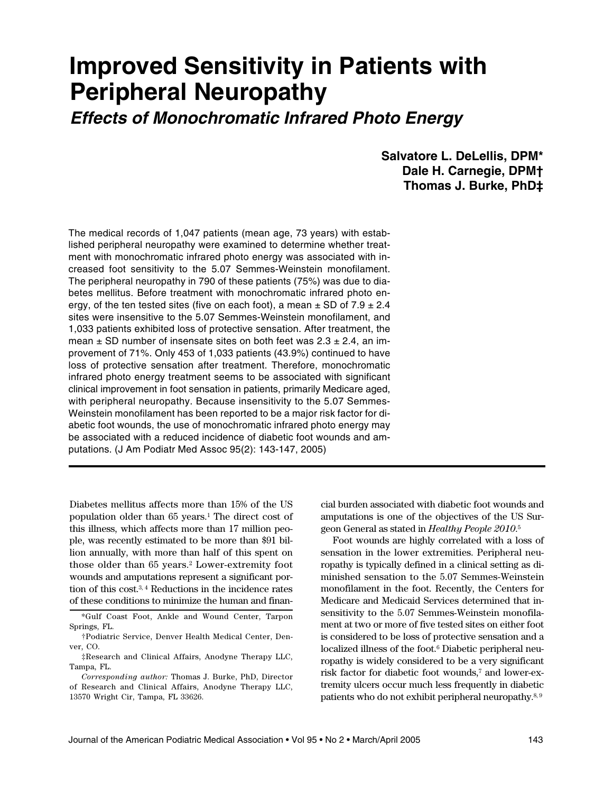# **Improved Sensitivity in Patients with Peripheral Neuropathy**

# **Effects of Monochromatic Infrared Photo Energy**

**Salvatore L. DeLellis, DPM\* Dale H. Carnegie, DPM† Thomas J. Burke, PhD‡**

The medical records of 1,047 patients (mean age, 73 years) with established peripheral neuropathy were examined to determine whether treatment with monochromatic infrared photo energy was associated with increased foot sensitivity to the 5.07 Semmes-Weinstein monofilament. The peripheral neuropathy in 790 of these patients (75%) was due to diabetes mellitus. Before treatment with monochromatic infrared photo energy, of the ten tested sites (five on each foot), a mean  $\pm$  SD of 7.9  $\pm$  2.4 sites were insensitive to the 5.07 Semmes-Weinstein monofilament, and 1,033 patients exhibited loss of protective sensation. After treatment, the mean  $\pm$  SD number of insensate sites on both feet was 2.3  $\pm$  2.4, an improvement of 71%. Only 453 of 1,033 patients (43.9%) continued to have loss of protective sensation after treatment. Therefore, monochromatic infrared photo energy treatment seems to be associated with significant clinical improvement in foot sensation in patients, primarily Medicare aged, with peripheral neuropathy. Because insensitivity to the 5.07 Semmes-Weinstein monofilament has been reported to be a major risk factor for diabetic foot wounds, the use of monochromatic infrared photo energy may be associated with a reduced incidence of diabetic foot wounds and amputations. (J Am Podiatr Med Assoc 95(2): 143-147, 2005)

Diabetes mellitus affects more than 15% of the US population older than 65 years. <sup>1</sup> The direct cost of this illness, which affects more than 17 million people, was recently estimated to be more than \$91 billion annually, with more than half of this spent on those older than 65 years.2 Lower-extremity foot wounds and amputations represent a significant portion of this cost. 3, <sup>4</sup> Reductions in the incidence rates of these conditions to minimize the human and financial burden associated with diabetic foot wounds and amputations is one of the objectives of the US Surgeon General as stated in *Healthy People 2010*. 5

Foot wounds are highly correlated with a loss of sensation in the lower extremities. Peripheral neuropathy is typically defined in a clinical setting as diminished sensation to the 5.07 Semmes-Weinstein monofilament in the foot. Recently, the Centers for Medicare and Medicaid Services determined that insensitivity to the 5.07 Semmes-Weinstein monofilament at two or more of five tested sites on either foot is considered to be loss of protective sensation and a localized illness of the foot. <sup>6</sup> Diabetic peripheral neuropathy is widely considered to be a very significant risk factor for diabetic foot wounds, <sup>7</sup> and lower-extremity ulcers occur much less frequently in diabetic patients who do not exhibit peripheral neuropathy.<sup>8,9</sup>

<sup>\*</sup>Gulf Coast Foot, Ankle and Wound Center, Tarpon Springs, FL.

<sup>†</sup>Podiatric Service, Denver Health Medical Center, Denver, CO.

<sup>‡</sup>Research and Clinical Affairs, Anodyne Therapy LLC, Tampa, FL.

*Corresponding author:* Thomas J. Burke, PhD, Director of Research and Clinical Affairs, Anodyne Therapy LLC, 13570 Wright Cir, Tampa, FL 33626.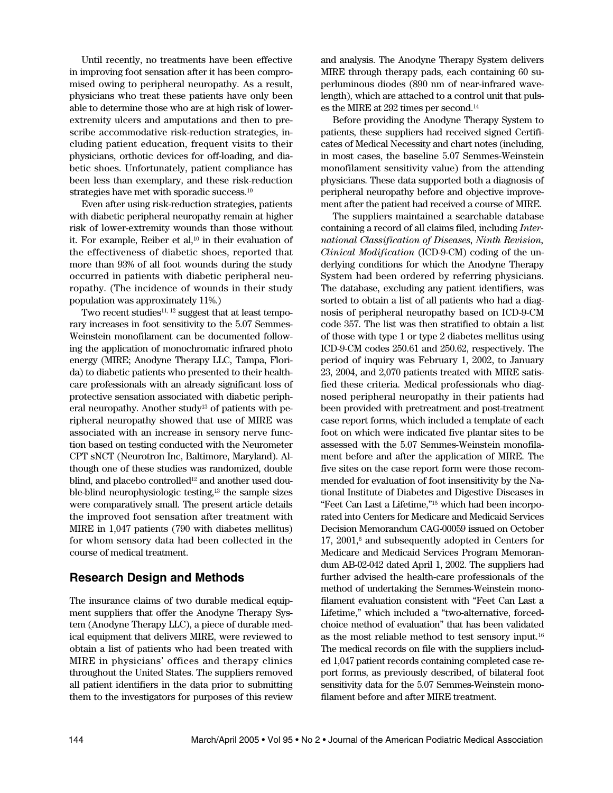Until recently, no treatments have been effective in improving foot sensation after it has been compromised owing to peripheral neuropathy. As a result, physicians who treat these patients have only been able to determine those who are at high risk of lowerextremity ulcers and amputations and then to prescribe accommodative risk-reduction strategies, including patient education, frequent visits to their physicians, orthotic devices for off-loading, and diabetic shoes. Unfortunately, patient compliance has been less than exemplary, and these risk-reduction strategies have met with sporadic success.<sup>10</sup>

Even after using risk-reduction strategies, patients with diabetic peripheral neuropathy remain at higher risk of lower-extremity wounds than those without it. For example, Reiber et al, <sup>10</sup> in their evaluation of the effectiveness of diabetic shoes, reported that more than 93% of all foot wounds during the study occurred in patients with diabetic peripheral neuropathy. (The incidence of wounds in their study population was approximately 11%.)

Two recent studies<sup>11, 12</sup> suggest that at least temporary increases in foot sensitivity to the 5.07 Semmes-Weinstein monofilament can be documented following the application of monochromatic infrared photo energy (MIRE; Anodyne Therapy LLC, Tampa, Florida) to diabetic patients who presented to their healthcare professionals with an already significant loss of protective sensation associated with diabetic peripheral neuropathy. Another study<sup>13</sup> of patients with peripheral neuropathy showed that use of MIRE was associated with an increase in sensory nerve function based on testing conducted with the Neurometer CPT sNCT (Neurotron Inc, Baltimore, Maryland). Although one of these studies was randomized, double blind, and placebo controlled<sup>12</sup> and another used double-blind neurophysiologic testing, <sup>13</sup> the sample sizes were comparatively small. The present article details the improved foot sensation after treatment with MIRE in 1,047 patients (790 with diabetes mellitus) for whom sensory data had been collected in the course of medical treatment.

## **Research Design and Methods**

The insurance claims of two durable medical equipment suppliers that offer the Anodyne Therapy System (Anodyne Therapy LLC), a piece of durable medical equipment that delivers MIRE, were reviewed to obtain a list of patients who had been treated with MIRE in physicians' offices and therapy clinics throughout the United States. The suppliers removed all patient identifiers in the data prior to submitting them to the investigators for purposes of this review

and analysis. The Anodyne Therapy System delivers MIRE through therapy pads, each containing 60 superluminous diodes (890 nm of near-infrared wavelength), which are attached to a control unit that pulses the MIRE at 292 times per second. 14

Before providing the Anodyne Therapy System to patients, these suppliers had received signed Certificates of Medical Necessity and chart notes (including, in most cases, the baseline 5.07 Semmes-Weinstein monofilament sensitivity value) from the attending physicians. These data supported both a diagnosis of peripheral neuropathy before and objective improvement after the patient had received a course of MIRE.

The suppliers maintained a searchable database containing a record of all claims filed, including *International Classification of Diseases, Ninth Revision, Clinical Modification* (ICD-9-CM) coding of the underlying conditions for which the Anodyne Therapy System had been ordered by referring physicians. The database, excluding any patient identifiers, was sorted to obtain a list of all patients who had a diagnosis of peripheral neuropathy based on ICD-9-CM code 357. The list was then stratified to obtain a list of those with type 1 or type 2 diabetes mellitus using ICD-9-CM codes 250.61 and 250.62, respectively. The period of inquiry was February 1, 2002, to January 23, 2004, and 2,070 patients treated with MIRE satisfied these criteria. Medical professionals who diagnosed peripheral neuropathy in their patients had been provided with pretreatment and post-treatment case report forms, which included a template of each foot on which were indicated five plantar sites to be assessed with the 5.07 Semmes-Weinstein monofilament before and after the application of MIRE. The five sites on the case report form were those recommended for evaluation of foot insensitivity by the National Institute of Diabetes and Digestive Diseases in "Feet Can Last a Lifetime,"15 which had been incorporated into Centers for Medicare and Medicaid Services Decision Memorandum CAG-00059 issued on October 17, 2001, <sup>6</sup> and subsequently adopted in Centers for Medicare and Medicaid Services Program Memorandum AB-02-042 dated April 1, 2002. The suppliers had further advised the health-care professionals of the method of undertaking the Semmes-Weinstein monofilament evaluation consistent with "Feet Can Last a Lifetime," which included a "two-alternative, forcedchoice method of evaluation" that has been validated as the most reliable method to test sensory input. 16 The medical records on file with the suppliers included 1,047 patient records containing completed case report forms, as previously described, of bilateral foot sensitivity data for the 5.07 Semmes-Weinstein monofilament before and after MIRE treatment.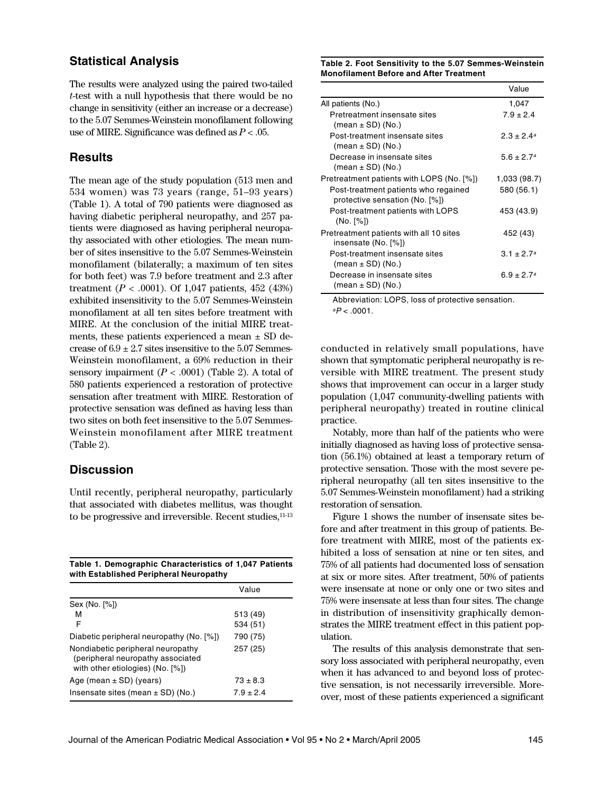#### **Statistical Analysis**

The results were analyzed using the paired two-tailed *t*-test with a null hypothesis that there would be no change in sensitivity (either an increase or a decrease) to the 5.07 Semmes-Weinstein monofilament following use of MIRE. Significance was defined as *P* < .05.

#### **Results**

The mean age of the study population (513 men and 534 women) was 73 years (range, 51–93 years) (Table 1). A total of 790 patients were diagnosed as having diabetic peripheral neuropathy, and 257 patients were diagnosed as having peripheral neuropathy associated with other etiologies. The mean number of sites insensitive to the 5.07 Semmes-Weinstein monofilament (bilaterally; a maximum of ten sites for both feet) was 7.9 before treatment and 2.3 after treatment  $(P < .0001)$ . Of 1,047 patients, 452 (43%) exhibited insensitivity to the 5.07 Semmes-Weinstein monofilament at all ten sites before treatment with MIRE. At the conclusion of the initial MIRE treatments, these patients experienced a mean  $\pm$  SD decrease of  $6.9 \pm 2.7$  sites insensitive to the 5.07 Semmes-Weinstein monofilament, a 69% reduction in their sensory impairment  $(P < .0001)$  (Table 2). A total of 580 patients experienced a restoration of protective sensation after treatment with MIRE. Restoration of protective sensation was defined as having less than two sites on both feet insensitive to the 5.07 Semmes-Weinstein monofilament after MIRE treatment (Table 2).

## **Discussion**

Until recently, peripheral neuropathy, particularly that associated with diabetes mellitus, was thought to be progressive and irreversible. Recent studies, 11-13

| Table 1. Demographic Characteristics of 1,047 Patients |  |
|--------------------------------------------------------|--|
| with Established Peripheral Neuropathy                 |  |

|                                                                                                            | Value        |
|------------------------------------------------------------------------------------------------------------|--------------|
| Sex (No. [%])                                                                                              |              |
| м                                                                                                          | 513 (49)     |
| F                                                                                                          | 534 (51)     |
| Diabetic peripheral neuropathy (No. [%])                                                                   | 790 (75)     |
| Nondiabetic peripheral neuropathy<br>(peripheral neuropathy associated<br>with other etiologies) (No. [%]) | 257 (25)     |
| Age (mean $\pm$ SD) (years)                                                                                | $73 \pm 8.3$ |
| Insensate sites (mean $\pm$ SD) (No.)                                                                      | $7.9 + 2.4$  |

**Table 2. Foot Sensitivity to the 5.07 Semmes-Weinstein Monofilament Before and After Treatment**

|                                                                        | Value           |
|------------------------------------------------------------------------|-----------------|
| All patients (No.)                                                     | 1,047           |
| Pretreatment insensate sites<br>$(mean \pm SD)$ (No.)                  | $7.9 \pm 2.4$   |
| Post-treatment insensate sites<br>$(mean \pm SD)$ (No.)                | $2.3 \pm 2.4^a$ |
| Decrease in insensate sites<br>$(mean \pm SD)$ (No.)                   | $5.6 \pm 2.7^a$ |
| Pretreatment patients with LOPS (No. [%])                              | 1,033 (98.7)    |
| Post-treatment patients who regained<br>protective sensation (No. [%]) | 580 (56.1)      |
| Post-treatment patients with LOPS<br>(No. [%])                         | 453 (43.9)      |
| Pretreatment patients with all 10 sites<br>insensate (No. [%])         | 452 (43)        |
| Post-treatment insensate sites<br>$(mean \pm SD)$ (No.)                | $3.1 + 2.7^a$   |
| Decrease in insensate sites<br>$(mean \pm SD)$ (No.)                   | $6.9 \pm 2.7^a$ |

Abbreviation: LOPS, loss of protective sensation.  $^{a}P$  < .0001.

conducted in relatively small populations, have shown that symptomatic peripheral neuropathy is reversible with MIRE treatment. The present study shows that improvement can occur in a larger study population (1,047 community-dwelling patients with peripheral neuropathy) treated in routine clinical practice.

Notably, more than half of the patients who were initially diagnosed as having loss of protective sensation (56.1%) obtained at least a temporary return of protective sensation. Those with the most severe peripheral neuropathy (all ten sites insensitive to the 5.07 Semmes-Weinstein monofilament) had a striking restoration of sensation.

Figure 1 shows the number of insensate sites before and after treatment in this group of patients. Before treatment with MIRE, most of the patients exhibited a loss of sensation at nine or ten sites, and 75% of all patients had documented loss of sensation at six or more sites. After treatment, 50% of patients were insensate at none or only one or two sites and 75% were insensate at less than four sites. The change in distribution of insensitivity graphically demonstrates the MIRE treatment effect in this patient population.

The results of this analysis demonstrate that sensory loss associated with peripheral neuropathy, even when it has advanced to and beyond loss of protective sensation, is not necessarily irreversible. Moreover, most of these patients experienced a significant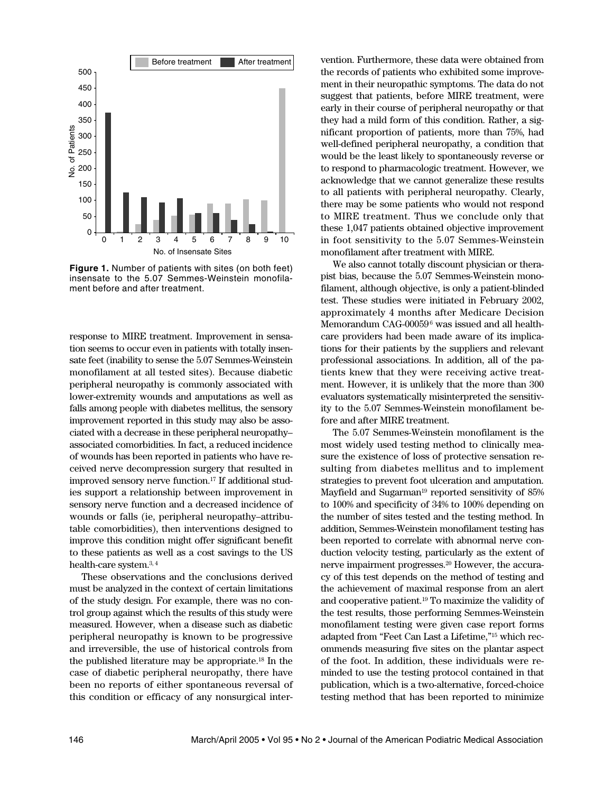

**Figure 1.** Number of patients with sites (on both feet) insensate to the 5.07 Semmes-Weinstein monofilament before and after treatment.

response to MIRE treatment. Improvement in sensation seems to occur even in patients with totally insensate feet (inability to sense the 5.07 Semmes-Weinstein monofilament at all tested sites). Because diabetic peripheral neuropathy is commonly associated with lower-extremity wounds and amputations as well as falls among people with diabetes mellitus, the sensory improvement reported in this study may also be associated with a decrease in these peripheral neuropathy– associated comorbidities. In fact, a reduced incidence of wounds has been reported in patients who have received nerve decompression surgery that resulted in improved sensory nerve function. <sup>17</sup> If additional studies support a relationship between improvement in sensory nerve function and a decreased incidence of wounds or falls (ie, peripheral neuropathy–attributable comorbidities), then interventions designed to improve this condition might offer significant benefit to these patients as well as a cost savings to the US health-care system. 3, 4

These observations and the conclusions derived must be analyzed in the context of certain limitations of the study design. For example, there was no control group against which the results of this study were measured. However, when a disease such as diabetic peripheral neuropathy is known to be progressive and irreversible, the use of historical controls from the published literature may be appropriate. <sup>18</sup> In the case of diabetic peripheral neuropathy, there have been no reports of either spontaneous reversal of this condition or efficacy of any nonsurgical intervention. Furthermore, these data were obtained from the records of patients who exhibited some improvement in their neuropathic symptoms. The data do not suggest that patients, before MIRE treatment, were early in their course of peripheral neuropathy or that they had a mild form of this condition. Rather, a significant proportion of patients, more than 75%, had well-defined peripheral neuropathy, a condition that would be the least likely to spontaneously reverse or to respond to pharmacologic treatment. However, we acknowledge that we cannot generalize these results to all patients with peripheral neuropathy. Clearly, there may be some patients who would not respond to MIRE treatment. Thus we conclude only that these 1,047 patients obtained objective improvement in foot sensitivity to the 5.07 Semmes-Weinstein monofilament after treatment with MIRE.

We also cannot totally discount physician or therapist bias, because the 5.07 Semmes-Weinstein monofilament, although objective, is only a patient-blinded test. These studies were initiated in February 2002, approximately 4 months after Medicare Decision Memorandum CAG-000596 was issued and all healthcare providers had been made aware of its implications for their patients by the suppliers and relevant professional associations. In addition, all of the patients knew that they were receiving active treatment. However, it is unlikely that the more than 300 evaluators systematically misinterpreted the sensitivity to the 5.07 Semmes-Weinstein monofilament before and after MIRE treatment.

The 5.07 Semmes-Weinstein monofilament is the most widely used testing method to clinically measure the existence of loss of protective sensation resulting from diabetes mellitus and to implement strategies to prevent foot ulceration and amputation. Mayfield and Sugarman<sup>19</sup> reported sensitivity of 85% to 100% and specificity of 34% to 100% depending on the number of sites tested and the testing method. In addition, Semmes-Weinstein monofilament testing has been reported to correlate with abnormal nerve conduction velocity testing, particularly as the extent of nerve impairment progresses. <sup>20</sup> However, the accuracy of this test depends on the method of testing and the achievement of maximal response from an alert and cooperative patient. <sup>19</sup> To maximize the validity of the test results, those performing Semmes-Weinstein monofilament testing were given case report forms adapted from "Feet Can Last a Lifetime,"15 which recommends measuring five sites on the plantar aspect of the foot. In addition, these individuals were reminded to use the testing protocol contained in that publication, which is a two-alternative, forced-choice testing method that has been reported to minimize